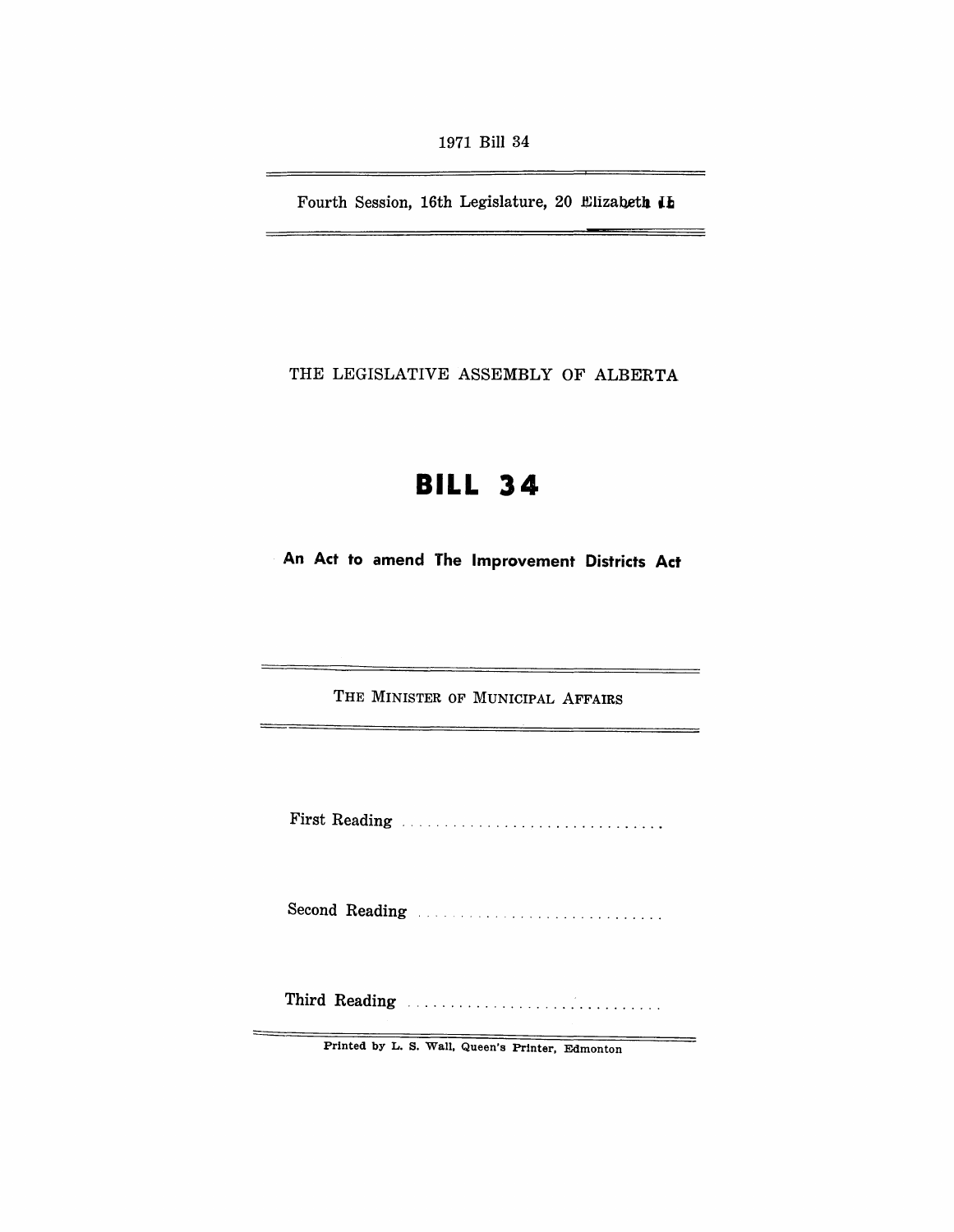1971 Bill 34

Fourth Session, 16th Legislature, 20 Elizabeth Ib

 $\frac{1}{2}$ 

--

THE LEGISLATIVE ASSEMBLY OF ALBERTA

# **BILL 34**

**An Act to amend The Improvement Districts Act** 

THE MINISTER OF MUNICIPAL AFFAIRS

First Reading .............................. .

Second Reading

Third Reading ............................. .

Printed by L. S. Wall, Queen's Printer, Edmonton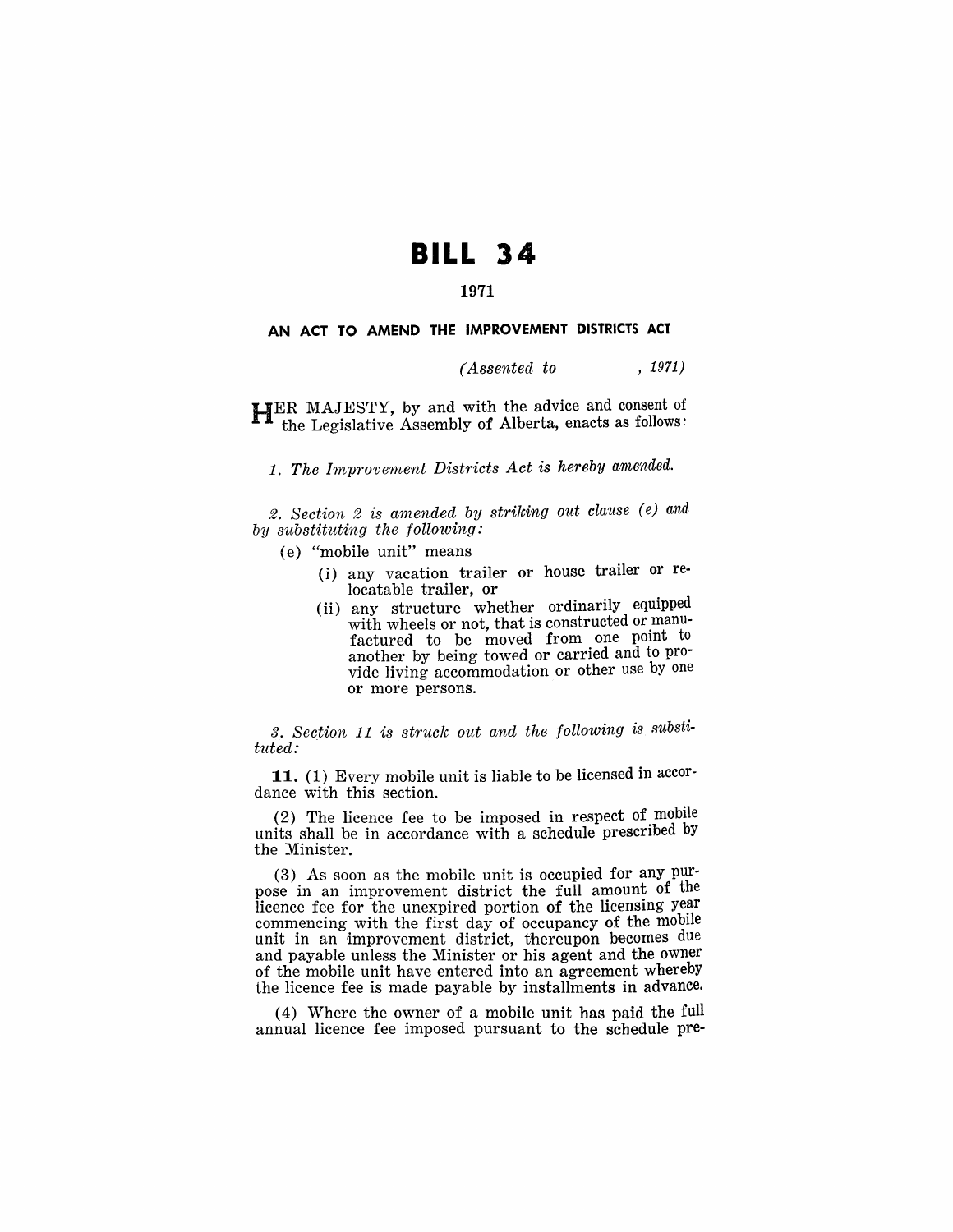# **BILL 34**

## 1971

#### AN ACT TO AMEND THE IMPROVEMENT DISTRICTS ACT

### *(Assented to* , 1971)

HER MAJESTY, by and with the advice and consent of the Legislative Assembly of Alberta, enacts as follows:

1. *The Improvement Districts Act is hereby amended.* 

*2. Section* 2 *is amended by striking out clause (e) and by sUbstituting the following:* 

- (e) "mobile unit" means
	- (i) any vacation trailer or house trailer or relocatable trailer, or
	- (ii) any structure whether ordinarily equipped with wheels or not, that is constructed or manufactured to be moved from one point to another by being towed or carried and to provide living accommodation or other use by one or more persons.

*3. Section* 11 *is struck out and the following* is *substituted:* 

11. (1) Every mobile unit is liable to be licensed in accordance with this section.

(2) The licence fee to be imposed in respect of mobile units shall be in accordance with a schedule prescribed by the Minister.

(3) As soon as the mobile unit is occupied for any purpose in an improvement district the full amount of the licence fee for the unexpired portion of the licensing year commencing with the first day of occupancy of the mobile unit in an improvement district, thereupon becomes due and payable unless the Minister or his agent and the owner of the mobile unit have entered into an agreement whereby the licence fee is made payable by installments in advance.

(4) Where the owner of a mobile unit has paid the full annual licence fee imposed pursuant to the schedule pre-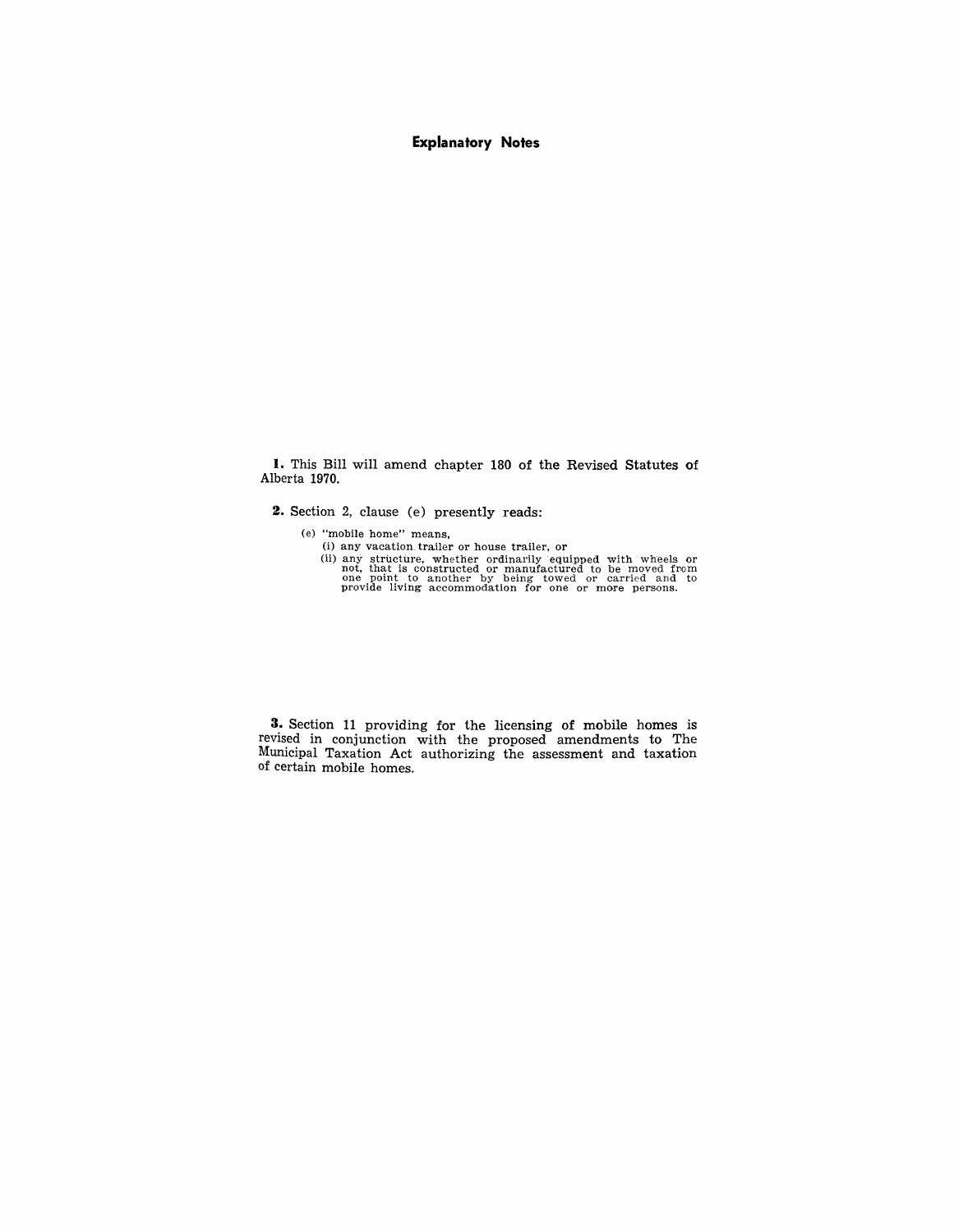#### **Explanatory Notes**

l. This Bill will amend chapter 180 of the Revised Statutes of Alberta 1970.

**2.** Section 2, clause (e) presently reads:

- 
- (e) "mobile home" means,<br>
(i) any vacation trailer or house trailer, or<br>
(ii) any structure, whether ordinarily equiped with wheels or<br>
mot, that is constructed or manufactured to be moved from<br>
one point to another by be

**3.** Section 11 providing for the licensing of mobile homes is revised in conjunction with the proposed amendments to The Municipal Taxation Act authorizing the assessment and taxation of certain mobile homes.